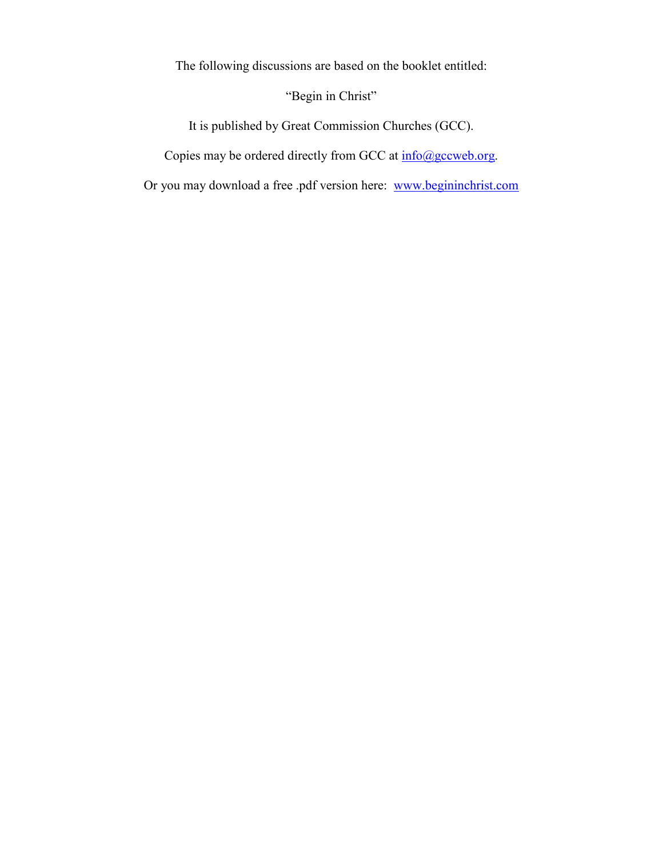The following discussions are based on the booklet entitled:

"Begin in Christ"

It is published by Great Commission Churches (GCC).

Copies may be ordered directly from GCC at  $\frac{info(\partial gccweb.org)}{info(\partial gccweb.org)}$ .

Or you may download a free .pdf version here: www.begininchrist.com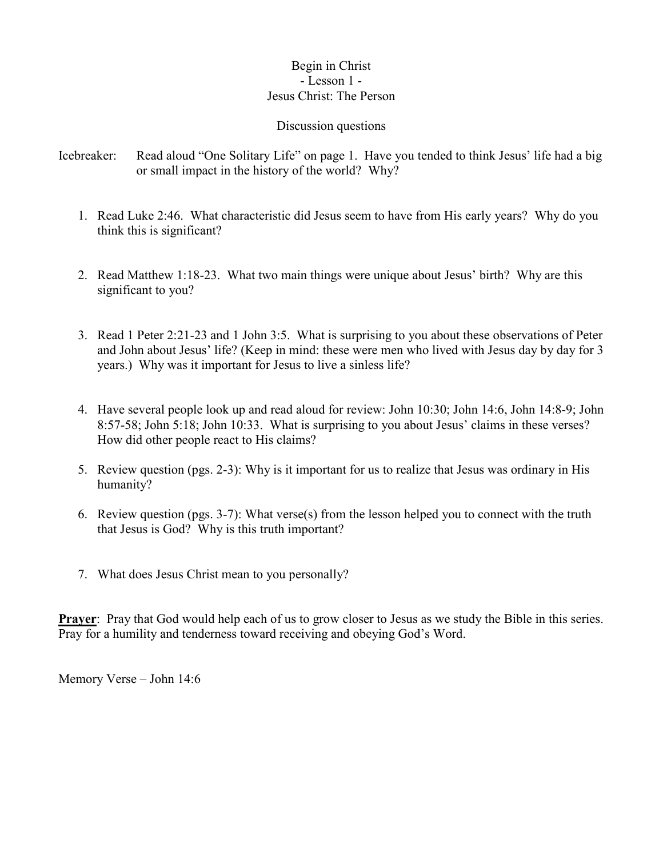### Begin in Christ - Lesson 1 - Jesus Christ: The Person

#### Discussion questions

- Icebreaker: Read aloud "One Solitary Life" on page 1. Have you tended to think Jesus' life had a big or small impact in the history of the world? Why?
	- 1. Read Luke 2:46. What characteristic did Jesus seem to have from His early years? Why do you think this is significant?
	- 2. Read Matthew 1:18-23. What two main things were unique about Jesus' birth? Why are this significant to you?
	- 3. Read 1 Peter 2:21-23 and 1 John 3:5. What is surprising to you about these observations of Peter and John about Jesus' life? (Keep in mind: these were men who lived with Jesus day by day for 3 years.) Why was it important for Jesus to live a sinless life?
	- 4. Have several people look up and read aloud for review: John 10:30; John 14:6, John 14:8-9; John 8:57-58; John 5:18; John 10:33. What is surprising to you about Jesus' claims in these verses? How did other people react to His claims?
	- 5. Review question (pgs. 2-3): Why is it important for us to realize that Jesus was ordinary in His humanity?
	- 6. Review question (pgs. 3-7): What verse(s) from the lesson helped you to connect with the truth that Jesus is God? Why is this truth important?
	- 7. What does Jesus Christ mean to you personally?

**Prayer:** Pray that God would help each of us to grow closer to Jesus as we study the Bible in this series. Pray for a humility and tenderness toward receiving and obeying God's Word.

Memory Verse – John 14:6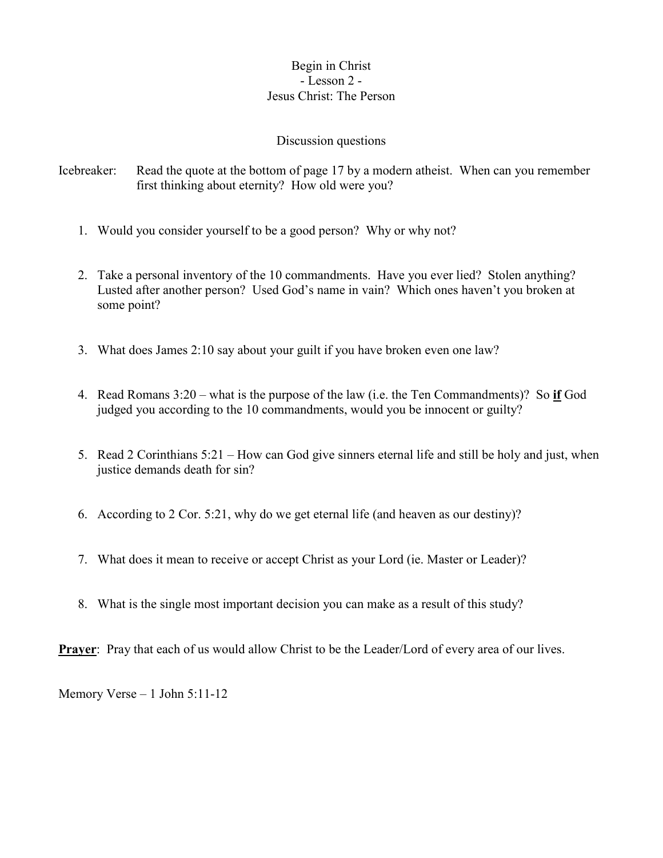### Begin in Christ - Lesson 2 - Jesus Christ: The Person

### Discussion questions

- Icebreaker: Read the quote at the bottom of page 17 by a modern atheist. When can you remember first thinking about eternity? How old were you?
	- 1. Would you consider yourself to be a good person? Why or why not?
	- 2. Take a personal inventory of the 10 commandments. Have you ever lied? Stolen anything? Lusted after another person? Used God's name in vain? Which ones haven't you broken at some point?
	- 3. What does James 2:10 say about your guilt if you have broken even one law?
	- 4. Read Romans 3:20 what is the purpose of the law (i.e. the Ten Commandments)? So **if** God judged you according to the 10 commandments, would you be innocent or guilty?
	- 5. Read 2 Corinthians 5:21 How can God give sinners eternal life and still be holy and just, when justice demands death for sin?
	- 6. According to 2 Cor. 5:21, why do we get eternal life (and heaven as our destiny)?
	- 7. What does it mean to receive or accept Christ as your Lord (ie. Master or Leader)?
	- 8. What is the single most important decision you can make as a result of this study?

**Prayer:** Pray that each of us would allow Christ to be the Leader/Lord of every area of our lives.

Memory Verse – 1 John 5:11-12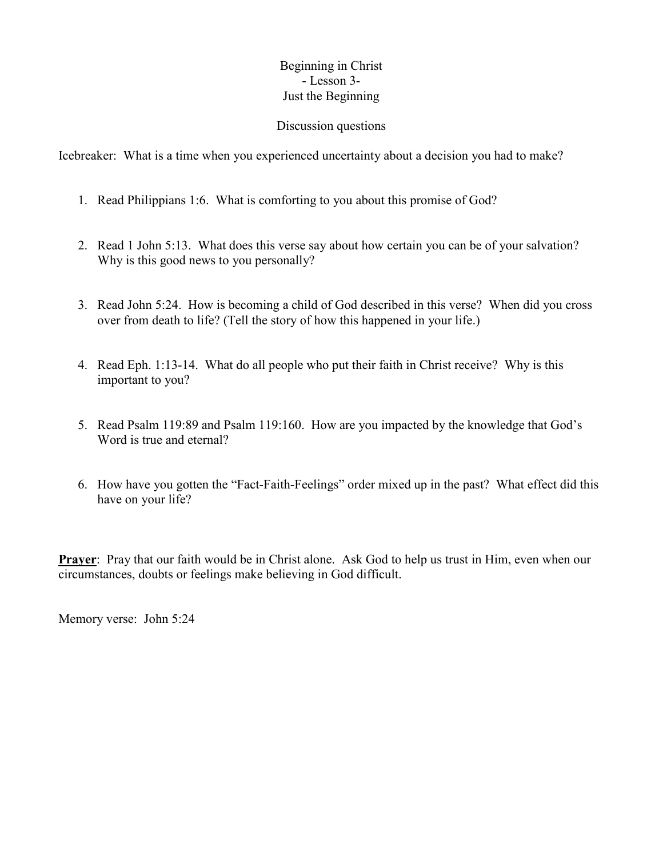## Beginning in Christ - Lesson 3- Just the Beginning

#### Discussion questions

Icebreaker: What is a time when you experienced uncertainty about a decision you had to make?

- 1. Read Philippians 1:6. What is comforting to you about this promise of God?
- 2. Read 1 John 5:13. What does this verse say about how certain you can be of your salvation? Why is this good news to you personally?
- 3. Read John 5:24. How is becoming a child of God described in this verse? When did you cross over from death to life? (Tell the story of how this happened in your life.)
- 4. Read Eph. 1:13-14. What do all people who put their faith in Christ receive? Why is this important to you?
- 5. Read Psalm 119:89 and Psalm 119:160. How are you impacted by the knowledge that God's Word is true and eternal?
- 6. How have you gotten the "Fact-Faith-Feelings" order mixed up in the past? What effect did this have on your life?

**Prayer**: Pray that our faith would be in Christ alone. Ask God to help us trust in Him, even when our circumstances, doubts or feelings make believing in God difficult.

Memory verse: John 5:24